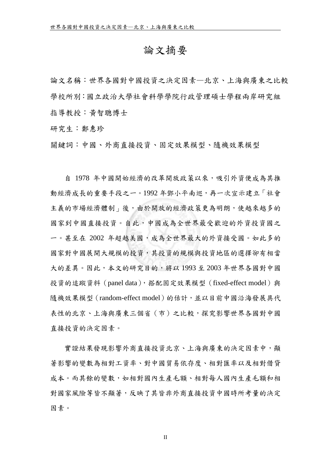## 論文摘要

論文名稱:世界各國對中國投資之決定因素—北京、上海與廣東之比較 學校所別:國立政治大學社會科學學院行政管理碩士學程兩岸研究組 指導教授:黃智聰博士

研究生:鄭惠珍

關鍵詞:中國、外商直接投資、固定效果模型、隨機效果模型

自 1978 年中國開始經濟的改革開放政策以來,吸引外資便成為其推 動經濟成長的重要手段之一。1992 年鄧小平南巡,再一次宣示建立「社會 主義的市場經濟體制」後,由於開放的經濟政策更為明朗,使越來越多的 國家到中國直接投資。自此,中國成為全世界最受歡迎的外資投資國之 一。甚至在 2002 年超越美國,成為全世界最大的外資接受國。如此多的 國家對中國展開大規模的投資,其投資的規模與投資地區的選擇卻有相當 大的差異。因此,本文的研究目的,將以 1993 至 2003 年世界各國對中國 投資的追蹤資料 (panel data),搭配固定效果模型 (fixed-effect model) 與 隨機效果模型 (random-effect model) 的估計,並以目前中國沿海發展具代 表性的北京、上海與廣東三個省(市)之比較,探究影響世界各國對中國 直接投資的決定因素。

實證結果發現影響外商直接投資北京、上海與廣東的決定因素中,顯 著影響的變數為相對工資率、對中國貿易依存度、相對匯率以及相對借貸 成本。而其餘的變數,如相對國內生產毛額、相對每人國內生產毛額和相 對國家風險等皆不顯著,反映了其皆非外商直接投資中國時所考量的決定 因素。

II